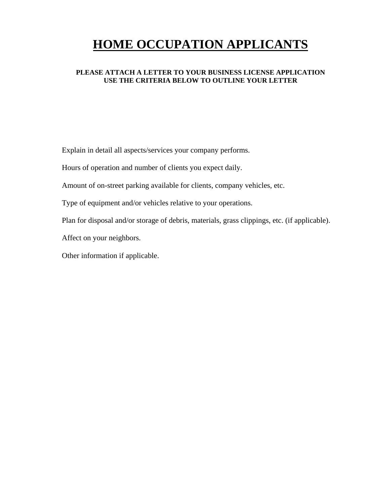# **HOME OCCUPATION APPLICANTS**

#### **PLEASE ATTACH A LETTER TO YOUR BUSINESS LICENSE APPLICATION USE THE CRITERIA BELOW TO OUTLINE YOUR LETTER**

Explain in detail all aspects/services your company performs.

Hours of operation and number of clients you expect daily.

Amount of on-street parking available for clients, company vehicles, etc.

Type of equipment and/or vehicles relative to your operations.

Plan for disposal and/or storage of debris, materials, grass clippings, etc. (if applicable).

Affect on your neighbors.

Other information if applicable.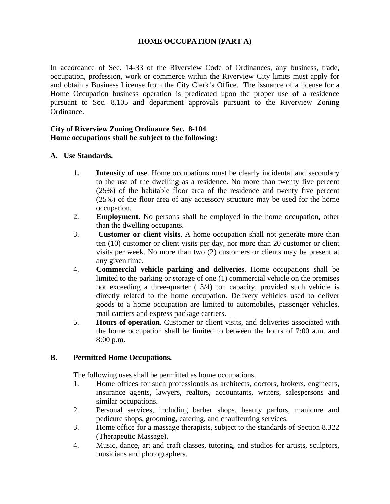## **HOME OCCUPATION (PART A)**

In accordance of Sec. 14-33 of the Riverview Code of Ordinances, any business, trade, occupation, profession, work or commerce within the Riverview City limits must apply for and obtain a Business License from the City Clerk's Office. The issuance of a license for a Home Occupation business operation is predicated upon the proper use of a residence pursuant to Sec. 8.105 and department approvals pursuant to the Riverview Zoning Ordinance.

#### **City of Riverview Zoning Ordinance Sec. 8-104 Home occupations shall be subject to the following:**

## **A. Use Standards.**

- 1**. Intensity of use**. Home occupations must be clearly incidental and secondary to the use of the dwelling as a residence. No more than twenty five percent (25%) of the habitable floor area of the residence and twenty five percent (25%) of the floor area of any accessory structure may be used for the home occupation.
- 2. **Employment.** No persons shall be employed in the home occupation, other than the dwelling occupants.
- 3. **Customer or client visits**. A home occupation shall not generate more than ten (10) customer or client visits per day, nor more than 20 customer or client visits per week. No more than two (2) customers or clients may be present at any given time.
- 4. **Commercial vehicle parking and deliveries**. Home occupations shall be limited to the parking or storage of one (1) commercial vehicle on the premises not exceeding a three-quarter ( 3/4) ton capacity, provided such vehicle is directly related to the home occupation. Delivery vehicles used to deliver goods to a home occupation are limited to automobiles, passenger vehicles, mail carriers and express package carriers.
- 5. **Hours of operation**. Customer or client visits, and deliveries associated with the home occupation shall be limited to between the hours of 7:00 a.m. and 8:00 p.m.

## **B. Permitted Home Occupations.**

The following uses shall be permitted as home occupations.

- 1. Home offices for such professionals as architects, doctors, brokers, engineers, insurance agents, lawyers, realtors, accountants, writers, salespersons and similar occupations.
- 2. Personal services, including barber shops, beauty parlors, manicure and pedicure shops, grooming, catering, and chauffeuring services.
- 3. Home office for a massage therapists, subject to the standards of Section 8.322 (Therapeutic Massage).
- 4. Music, dance, art and craft classes, tutoring, and studios for artists, sculptors, musicians and photographers.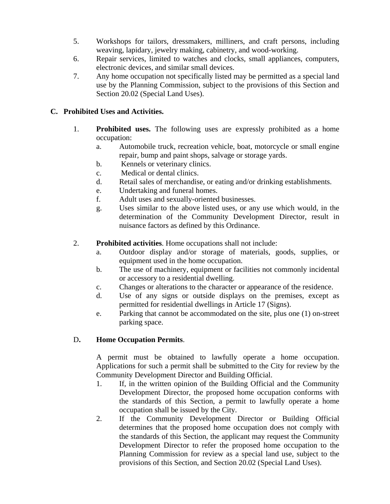- 5. Workshops for tailors, dressmakers, milliners, and craft persons, including weaving, lapidary, jewelry making, cabinetry, and wood-working.
- 6. Repair services, limited to watches and clocks, small appliances, computers, electronic devices, and similar small devices.
- 7. Any home occupation not specifically listed may be permitted as a special land use by the Planning Commission, subject to the provisions of this Section and Section 20.02 (Special Land Uses).

# **C. Prohibited Uses and Activities.**

- 1. **Prohibited uses.** The following uses are expressly prohibited as a home occupation:
	- a. Automobile truck, recreation vehicle, boat, motorcycle or small engine repair, bump and paint shops, salvage or storage yards.
	- b. Kennels or veterinary clinics.
	- c. Medical or dental clinics.
	- d. Retail sales of merchandise, or eating and/or drinking establishments.
	- e. Undertaking and funeral homes.
	- f. Adult uses and sexually-oriented businesses.
	- g. Uses similar to the above listed uses, or any use which would, in the determination of the Community Development Director, result in nuisance factors as defined by this Ordinance.
- 2. **Prohibited activities**. Home occupations shall not include:
	- a. Outdoor display and/or storage of materials, goods, supplies, or equipment used in the home occupation.
	- b. The use of machinery, equipment or facilities not commonly incidental or accessory to a residential dwelling.
	- c. Changes or alterations to the character or appearance of the residence.
	- d. Use of any signs or outside displays on the premises, except as permitted for residential dwellings in Article 17 (Signs).
	- e. Parking that cannot be accommodated on the site, plus one (1) on-street parking space.

## D**. Home Occupation Permits**.

A permit must be obtained to lawfully operate a home occupation. Applications for such a permit shall be submitted to the City for review by the Community Development Director and Building Official.

- 1. If, in the written opinion of the Building Official and the Community Development Director, the proposed home occupation conforms with the standards of this Section, a permit to lawfully operate a home occupation shall be issued by the City.
- 2. If the Community Development Director or Building Official determines that the proposed home occupation does not comply with the standards of this Section, the applicant may request the Community Development Director to refer the proposed home occupation to the Planning Commission for review as a special land use, subject to the provisions of this Section, and Section 20.02 (Special Land Uses).